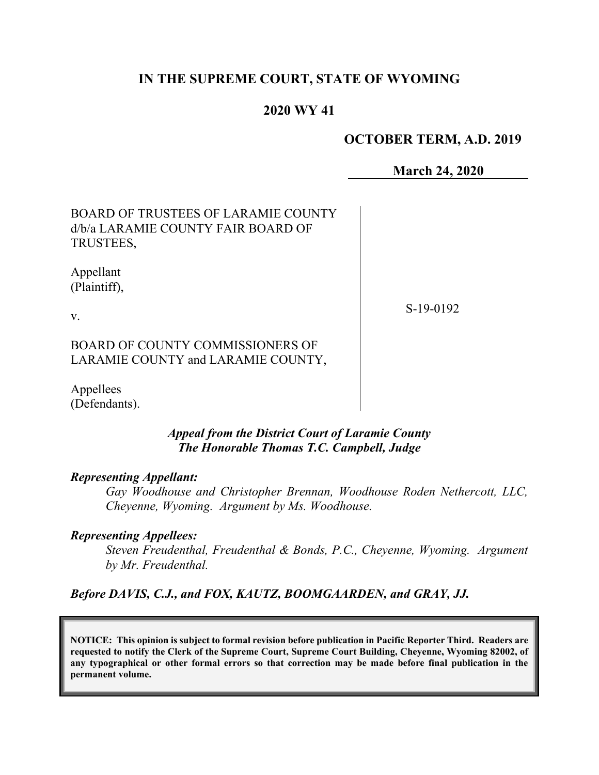# **IN THE SUPREME COURT, STATE OF WYOMING**

# **2020 WY 41**

## **OCTOBER TERM, A.D. 2019**

**March 24, 2020**

| <b>BOARD OF TRUSTEES OF LARAMIE COUNTY</b> |
|--------------------------------------------|
| d/b/a LARAMIE COUNTY FAIR BOARD OF         |
| TRUSTEES,                                  |

Appellant (Plaintiff),

v.

S-19-0192

BOARD OF COUNTY COMMISSIONERS OF LARAMIE COUNTY and LARAMIE COUNTY,

Appellees (Defendants).

### *Appeal from the District Court of Laramie County The Honorable Thomas T.C. Campbell, Judge*

#### *Representing Appellant:*

*Gay Woodhouse and Christopher Brennan, Woodhouse Roden Nethercott, LLC, Cheyenne, Wyoming. Argument by Ms. Woodhouse.*

#### *Representing Appellees:*

*Steven Freudenthal, Freudenthal & Bonds, P.C., Cheyenne, Wyoming. Argument by Mr. Freudenthal.*

#### *Before DAVIS, C.J., and FOX, KAUTZ, BOOMGAARDEN, and GRAY, JJ.*

**NOTICE: This opinion is subject to formal revision before publication in Pacific Reporter Third. Readers are requested to notify the Clerk of the Supreme Court, Supreme Court Building, Cheyenne, Wyoming 82002, of any typographical or other formal errors so that correction may be made before final publication in the permanent volume.**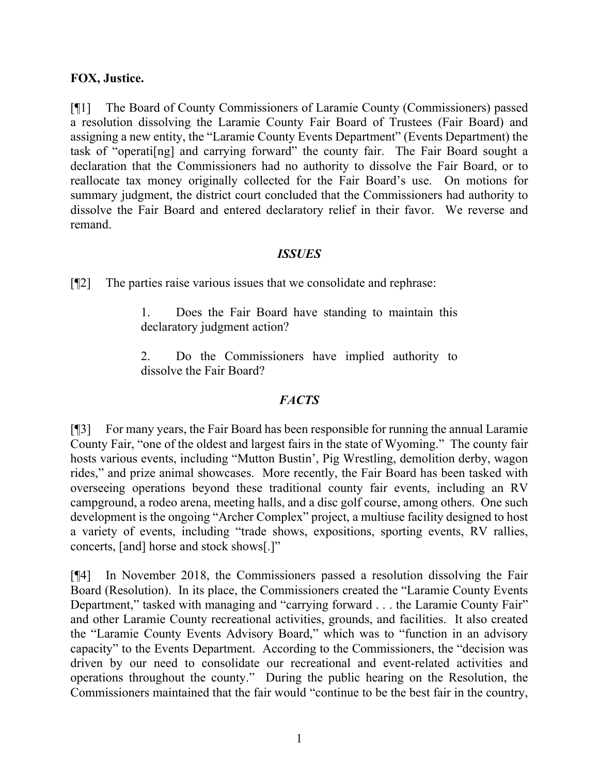### **FOX, Justice.**

[¶1] The Board of County Commissioners of Laramie County (Commissioners) passed a resolution dissolving the Laramie County Fair Board of Trustees (Fair Board) and assigning a new entity, the "Laramie County Events Department" (Events Department) the task of "operati[ng] and carrying forward" the county fair. The Fair Board sought a declaration that the Commissioners had no authority to dissolve the Fair Board, or to reallocate tax money originally collected for the Fair Board's use. On motions for summary judgment, the district court concluded that the Commissioners had authority to dissolve the Fair Board and entered declaratory relief in their favor. We reverse and remand.

### *ISSUES*

[¶2] The parties raise various issues that we consolidate and rephrase:

1. Does the Fair Board have standing to maintain this declaratory judgment action?

2. Do the Commissioners have implied authority to dissolve the Fair Board?

## *FACTS*

[¶3] For many years, the Fair Board has been responsible for running the annual Laramie County Fair, "one of the oldest and largest fairs in the state of Wyoming." The county fair hosts various events, including "Mutton Bustin', Pig Wrestling, demolition derby, wagon rides," and prize animal showcases. More recently, the Fair Board has been tasked with overseeing operations beyond these traditional county fair events, including an RV campground, a rodeo arena, meeting halls, and a disc golf course, among others. One such development is the ongoing "Archer Complex" project, a multiuse facility designed to host a variety of events, including "trade shows, expositions, sporting events, RV rallies, concerts, [and] horse and stock shows[.]"

[¶4] In November 2018, the Commissioners passed a resolution dissolving the Fair Board (Resolution). In its place, the Commissioners created the "Laramie County Events Department," tasked with managing and "carrying forward . . . the Laramie County Fair" and other Laramie County recreational activities, grounds, and facilities. It also created the "Laramie County Events Advisory Board," which was to "function in an advisory capacity" to the Events Department. According to the Commissioners, the "decision was driven by our need to consolidate our recreational and event-related activities and operations throughout the county." During the public hearing on the Resolution, the Commissioners maintained that the fair would "continue to be the best fair in the country,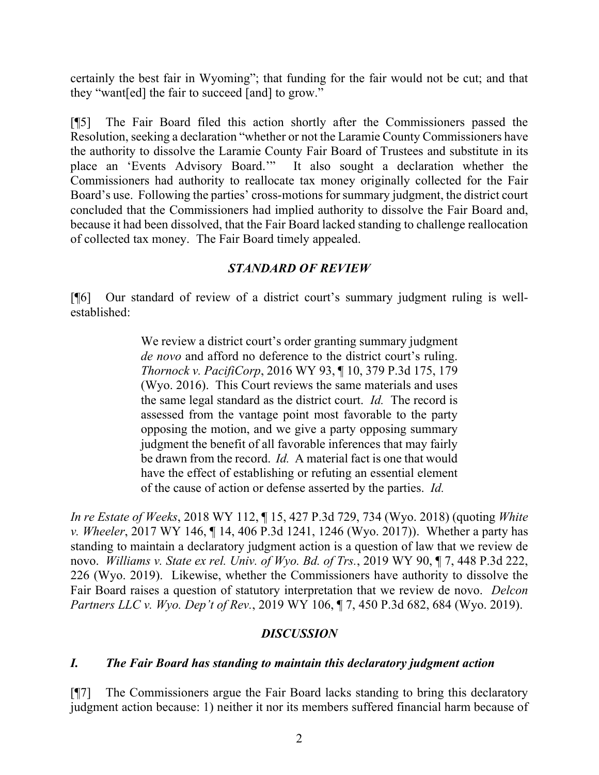certainly the best fair in Wyoming"; that funding for the fair would not be cut; and that they "want[ed] the fair to succeed [and] to grow."

[¶5] The Fair Board filed this action shortly after the Commissioners passed the Resolution, seeking a declaration "whether or not the Laramie County Commissioners have the authority to dissolve the Laramie County Fair Board of Trustees and substitute in its place an 'Events Advisory Board.'" It also sought a declaration whether the Commissioners had authority to reallocate tax money originally collected for the Fair Board's use. Following the parties' cross-motions for summary judgment, the district court concluded that the Commissioners had implied authority to dissolve the Fair Board and, because it had been dissolved, that the Fair Board lacked standing to challenge reallocation of collected tax money. The Fair Board timely appealed.

## *STANDARD OF REVIEW*

[¶6] Our standard of review of a district court's summary judgment ruling is wellestablished:

> We review a district court's order granting summary judgment *de novo* and afford no deference to the district court's ruling. *Thornock v. PacifiCorp*, 2016 WY 93, ¶ 10, 379 P.3d 175, 179 (Wyo. 2016). This Court reviews the same materials and uses the same legal standard as the district court. *Id.* The record is assessed from the vantage point most favorable to the party opposing the motion, and we give a party opposing summary judgment the benefit of all favorable inferences that may fairly be drawn from the record. *Id.* A material fact is one that would have the effect of establishing or refuting an essential element of the cause of action or defense asserted by the parties. *Id.*

*In re Estate of Weeks*, 2018 WY 112, ¶ 15, 427 P.3d 729, 734 (Wyo. 2018) (quoting *White v. Wheeler*, 2017 WY 146, ¶ 14, 406 P.3d 1241, 1246 (Wyo. 2017)). Whether a party has standing to maintain a declaratory judgment action is a question of law that we review de novo. *Williams v. State ex rel. Univ. of Wyo. Bd. of Trs.*, 2019 WY 90, ¶ 7, 448 P.3d 222, 226 (Wyo. 2019). Likewise, whether the Commissioners have authority to dissolve the Fair Board raises a question of statutory interpretation that we review de novo. *Delcon Partners LLC v. Wyo. Dep't of Rev.*, 2019 WY 106, ¶ 7, 450 P.3d 682, 684 (Wyo. 2019).

## *DISCUSSION*

## *I. The Fair Board has standing to maintain this declaratory judgment action*

[¶7] The Commissioners argue the Fair Board lacks standing to bring this declaratory judgment action because: 1) neither it nor its members suffered financial harm because of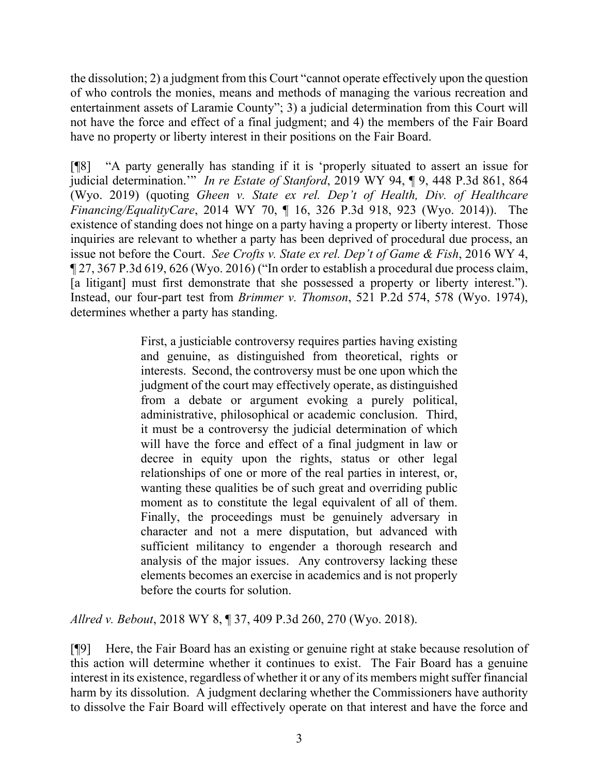the dissolution; 2) a judgment from this Court "cannot operate effectively upon the question of who controls the monies, means and methods of managing the various recreation and entertainment assets of Laramie County"; 3) a judicial determination from this Court will not have the force and effect of a final judgment; and 4) the members of the Fair Board have no property or liberty interest in their positions on the Fair Board.

[¶8] "A party generally has standing if it is 'properly situated to assert an issue for judicial determination.'" *In re Estate of Stanford*, 2019 WY 94, ¶ 9, 448 P.3d 861, 864 (Wyo. 2019) (quoting *Gheen v. State ex rel. Dep't of Health, Div. of Healthcare Financing/EqualityCare*, 2014 WY 70, ¶ 16, 326 P.3d 918, 923 (Wyo. 2014)). The existence of standing does not hinge on a party having a property or liberty interest. Those inquiries are relevant to whether a party has been deprived of procedural due process, an issue not before the Court. *See Crofts v. State ex rel. Dep't of Game & Fish*, 2016 WY 4, ¶ 27, 367 P.3d 619, 626 (Wyo. 2016) ("In order to establish a procedural due process claim, [a litigant] must first demonstrate that she possessed a property or liberty interest."). Instead, our four-part test from *Brimmer v. Thomson*, 521 P.2d 574, 578 (Wyo. 1974), determines whether a party has standing.

> First, a justiciable controversy requires parties having existing and genuine, as distinguished from theoretical, rights or interests. Second, the controversy must be one upon which the judgment of the court may effectively operate, as distinguished from a debate or argument evoking a purely political, administrative, philosophical or academic conclusion. Third, it must be a controversy the judicial determination of which will have the force and effect of a final judgment in law or decree in equity upon the rights, status or other legal relationships of one or more of the real parties in interest, or, wanting these qualities be of such great and overriding public moment as to constitute the legal equivalent of all of them. Finally, the proceedings must be genuinely adversary in character and not a mere disputation, but advanced with sufficient militancy to engender a thorough research and analysis of the major issues. Any controversy lacking these elements becomes an exercise in academics and is not properly before the courts for solution.

*Allred v. Bebout*, 2018 WY 8, ¶ 37, 409 P.3d 260, 270 (Wyo. 2018).

[¶9] Here, the Fair Board has an existing or genuine right at stake because resolution of this action will determine whether it continues to exist. The Fair Board has a genuine interest in its existence, regardless of whether it or any of its members might suffer financial harm by its dissolution. A judgment declaring whether the Commissioners have authority to dissolve the Fair Board will effectively operate on that interest and have the force and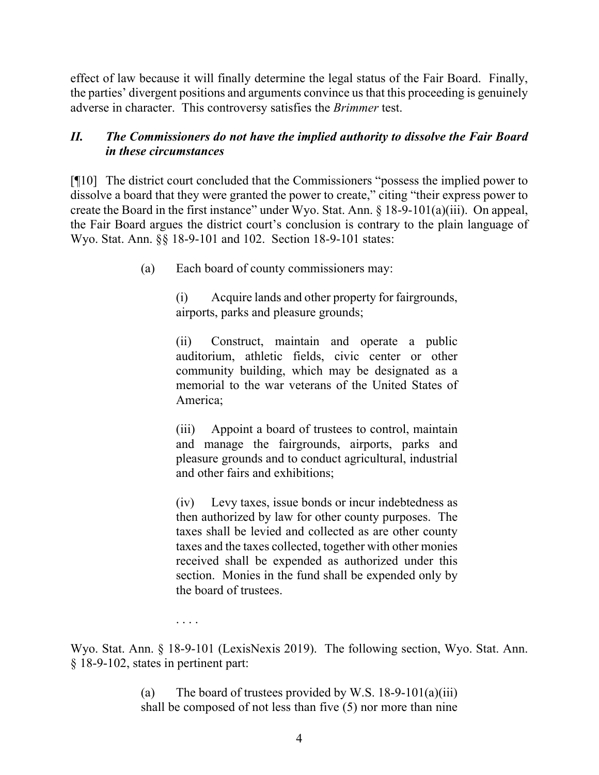effect of law because it will finally determine the legal status of the Fair Board. Finally, the parties' divergent positions and arguments convince us that this proceeding is genuinely adverse in character.This controversy satisfies the *Brimmer* test.

# *II. The Commissioners do not have the implied authority to dissolve the Fair Board in these circumstances*

[¶10] The district court concluded that the Commissioners "possess the implied power to dissolve a board that they were granted the power to create," citing "their express power to create the Board in the first instance" under Wyo. Stat. Ann. § 18-9-101(a)(iii). On appeal, the Fair Board argues the district court's conclusion is contrary to the plain language of Wyo. Stat. Ann. §§ 18-9-101 and 102. Section 18-9-101 states:

(a) Each board of county commissioners may:

(i) Acquire lands and other property for fairgrounds, airports, parks and pleasure grounds;

(ii) Construct, maintain and operate a public auditorium, athletic fields, civic center or other community building, which may be designated as a memorial to the war veterans of the United States of America;

(iii) Appoint a board of trustees to control, maintain and manage the fairgrounds, airports, parks and pleasure grounds and to conduct agricultural, industrial and other fairs and exhibitions;

(iv) Levy taxes, issue bonds or incur indebtedness as then authorized by law for other county purposes. The taxes shall be levied and collected as are other county taxes and the taxes collected, together with other monies received shall be expended as authorized under this section. Monies in the fund shall be expended only by the board of trustees.

. . . .

Wyo. Stat. Ann. § 18-9-101 (LexisNexis 2019). The following section, Wyo. Stat. Ann. § 18-9-102, states in pertinent part:

> (a) The board of trustees provided by W.S.  $18-9-101(a)(iii)$ shall be composed of not less than five (5) nor more than nine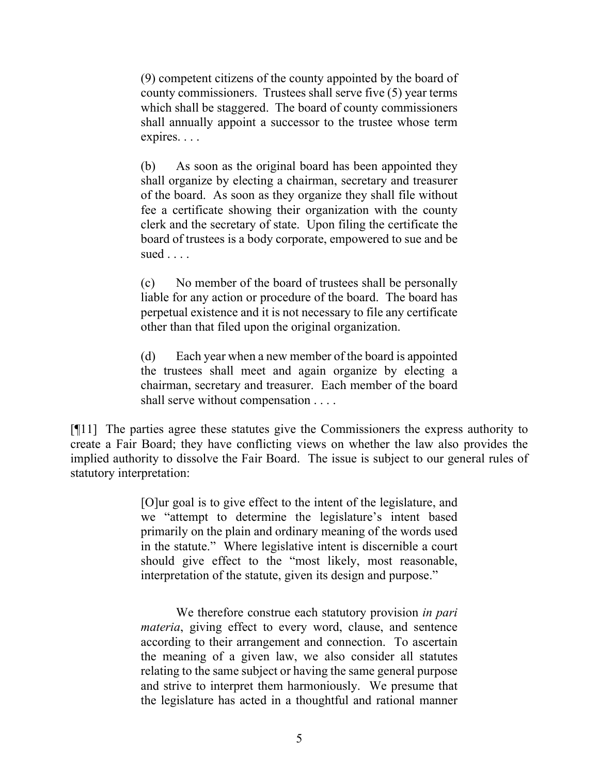(9) competent citizens of the county appointed by the board of county commissioners. Trustees shall serve five (5) year terms which shall be staggered. The board of county commissioners shall annually appoint a successor to the trustee whose term expires. . . .

(b) As soon as the original board has been appointed they shall organize by electing a chairman, secretary and treasurer of the board. As soon as they organize they shall file without fee a certificate showing their organization with the county clerk and the secretary of state. Upon filing the certificate the board of trustees is a body corporate, empowered to sue and be sued  $\ldots$ .

(c) No member of the board of trustees shall be personally liable for any action or procedure of the board. The board has perpetual existence and it is not necessary to file any certificate other than that filed upon the original organization.

(d) Each year when a new member of the board is appointed the trustees shall meet and again organize by electing a chairman, secretary and treasurer. Each member of the board shall serve without compensation . . . .

[¶11] The parties agree these statutes give the Commissioners the express authority to create a Fair Board; they have conflicting views on whether the law also provides the implied authority to dissolve the Fair Board. The issue is subject to our general rules of statutory interpretation:

> [O]ur goal is to give effect to the intent of the legislature, and we "attempt to determine the legislature's intent based primarily on the plain and ordinary meaning of the words used in the statute." Where legislative intent is discernible a court should give effect to the "most likely, most reasonable, interpretation of the statute, given its design and purpose."

> We therefore construe each statutory provision *in pari materia*, giving effect to every word, clause, and sentence according to their arrangement and connection. To ascertain the meaning of a given law, we also consider all statutes relating to the same subject or having the same general purpose and strive to interpret them harmoniously. We presume that the legislature has acted in a thoughtful and rational manner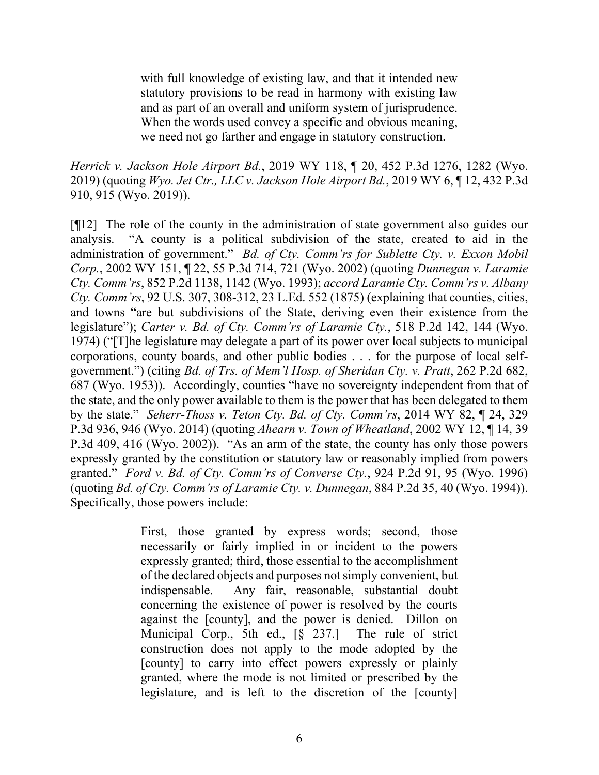with full knowledge of existing law, and that it intended new statutory provisions to be read in harmony with existing law and as part of an overall and uniform system of jurisprudence. When the words used convey a specific and obvious meaning, we need not go farther and engage in statutory construction.

*Herrick v. Jackson Hole Airport Bd.*, 2019 WY 118, ¶ 20, 452 P.3d 1276, 1282 (Wyo. 2019) (quoting *Wyo. Jet Ctr., LLC v. Jackson Hole Airport Bd.*, 2019 WY 6, ¶ 12, 432 P.3d 910, 915 (Wyo. 2019)).

[¶12] The role of the county in the administration of state government also guides our analysis. "A county is a political subdivision of the state, created to aid in the administration of government." *Bd. of Cty. Comm'rs for Sublette Cty. v. Exxon Mobil Corp.*, 2002 WY 151, ¶ 22, 55 P.3d 714, 721 (Wyo. 2002) (quoting *Dunnegan v. Laramie Cty. Comm'rs*, 852 P.2d 1138, 1142 (Wyo. 1993); *accord Laramie Cty. Comm'rs v. Albany Cty. Comm'rs*, 92 U.S. 307, 308-312, 23 L.Ed. 552 (1875) (explaining that counties, cities, and towns "are but subdivisions of the State, deriving even their existence from the legislature"); *Carter v. Bd. of Cty. Comm'rs of Laramie Cty.*, 518 P.2d 142, 144 (Wyo. 1974) ("[T]he legislature may delegate a part of its power over local subjects to municipal corporations, county boards, and other public bodies . . . for the purpose of local selfgovernment.") (citing *Bd. of Trs. of Mem'l Hosp. of Sheridan Cty. v. Pratt*, 262 P.2d 682, 687 (Wyo. 1953)). Accordingly, counties "have no sovereignty independent from that of the state, and the only power available to them is the power that has been delegated to them by the state." *Seherr-Thoss v. Teton Cty. Bd. of Cty. Comm'rs*, 2014 WY 82, ¶ 24, 329 P.3d 936, 946 (Wyo. 2014) (quoting *Ahearn v. Town of Wheatland*, 2002 WY 12, ¶ 14, 39 P.3d 409, 416 (Wyo. 2002)). "As an arm of the state, the county has only those powers expressly granted by the constitution or statutory law or reasonably implied from powers granted." *Ford v. Bd. of Cty. Comm'rs of Converse Cty.*, 924 P.2d 91, 95 (Wyo. 1996) (quoting *Bd. of Cty. Comm'rs of Laramie Cty. v. Dunnegan*, 884 P.2d 35, 40 (Wyo. 1994)). Specifically, those powers include:

> First, those granted by express words; second, those necessarily or fairly implied in or incident to the powers expressly granted; third, those essential to the accomplishment of the declared objects and purposes not simply convenient, but indispensable. Any fair, reasonable, substantial doubt concerning the existence of power is resolved by the courts against the [county], and the power is denied. Dillon on Municipal Corp., 5th ed., [§ 237.] The rule of strict construction does not apply to the mode adopted by the [county] to carry into effect powers expressly or plainly granted, where the mode is not limited or prescribed by the legislature, and is left to the discretion of the [county]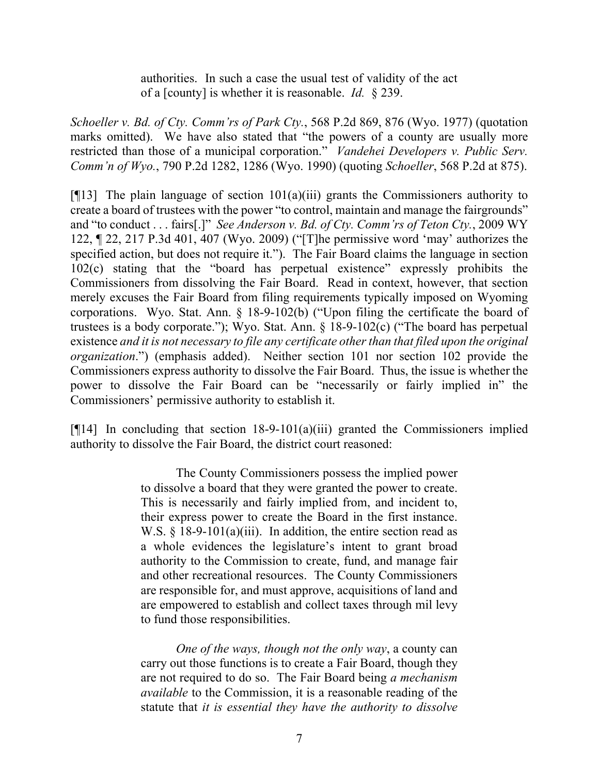authorities. In such a case the usual test of validity of the act of a [county] is whether it is reasonable. *Id.* § 239.

*Schoeller v. Bd. of Cty. Comm'rs of Park Cty.*, 568 P.2d 869, 876 (Wyo. 1977) (quotation marks omitted). We have also stated that "the powers of a county are usually more restricted than those of a municipal corporation." *Vandehei Developers v. Public Serv. Comm'n of Wyo.*, 790 P.2d 1282, 1286 (Wyo. 1990) (quoting *Schoeller*, 568 P.2d at 875).

[ $[$ [13] The plain language of section 101(a)(iii) grants the Commissioners authority to create a board of trustees with the power "to control, maintain and manage the fairgrounds" and "to conduct . . . fairs[.]" *See Anderson v. Bd. of Cty. Comm'rs of Teton Cty.*, 2009 WY 122, ¶ 22, 217 P.3d 401, 407 (Wyo. 2009) ("[T]he permissive word 'may' authorizes the specified action, but does not require it."). The Fair Board claims the language in section 102(c) stating that the "board has perpetual existence" expressly prohibits the Commissioners from dissolving the Fair Board. Read in context, however, that section merely excuses the Fair Board from filing requirements typically imposed on Wyoming corporations. Wyo. Stat. Ann. § 18-9-102(b) ("Upon filing the certificate the board of trustees is a body corporate."); Wyo. Stat. Ann. § 18-9-102(c) ("The board has perpetual existence *and it is not necessary to file any certificate other than that filed upon the original organization*.") (emphasis added). Neither section 101 nor section 102 provide the Commissioners express authority to dissolve the Fair Board. Thus, the issue is whether the power to dissolve the Fair Board can be "necessarily or fairly implied in" the Commissioners' permissive authority to establish it.

[ $[14]$ ] In concluding that section 18-9-101(a)(iii) granted the Commissioners implied authority to dissolve the Fair Board, the district court reasoned:

> The County Commissioners possess the implied power to dissolve a board that they were granted the power to create. This is necessarily and fairly implied from, and incident to, their express power to create the Board in the first instance. W.S. § 18-9-101(a)(iii). In addition, the entire section read as a whole evidences the legislature's intent to grant broad authority to the Commission to create, fund, and manage fair and other recreational resources. The County Commissioners are responsible for, and must approve, acquisitions of land and are empowered to establish and collect taxes through mil levy to fund those responsibilities.

> *One of the ways, though not the only way*, a county can carry out those functions is to create a Fair Board, though they are not required to do so. The Fair Board being *a mechanism available* to the Commission, it is a reasonable reading of the statute that *it is essential they have the authority to dissolve*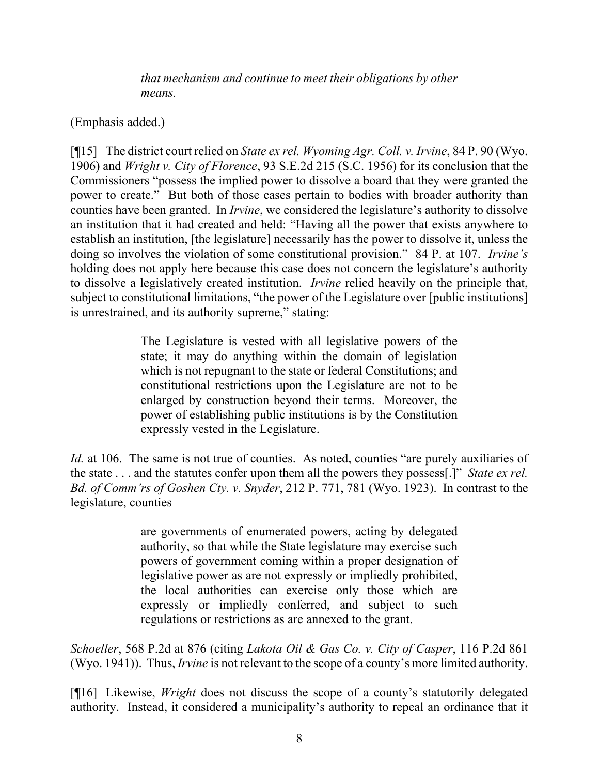*that mechanism and continue to meet their obligations by other means.* 

# (Emphasis added.)

[¶15] The district court relied on *State ex rel. Wyoming Agr. Coll. v. Irvine*, 84 P. 90 (Wyo. 1906) and *Wright v. City of Florence*, 93 S.E.2d 215 (S.C. 1956) for its conclusion that the Commissioners "possess the implied power to dissolve a board that they were granted the power to create." But both of those cases pertain to bodies with broader authority than counties have been granted. In *Irvine*, we considered the legislature's authority to dissolve an institution that it had created and held: "Having all the power that exists anywhere to establish an institution, [the legislature] necessarily has the power to dissolve it, unless the doing so involves the violation of some constitutional provision." 84 P. at 107. *Irvine's*  holding does not apply here because this case does not concern the legislature's authority to dissolve a legislatively created institution. *Irvine* relied heavily on the principle that, subject to constitutional limitations, "the power of the Legislature over [public institutions] is unrestrained, and its authority supreme," stating:

> The Legislature is vested with all legislative powers of the state; it may do anything within the domain of legislation which is not repugnant to the state or federal Constitutions; and constitutional restrictions upon the Legislature are not to be enlarged by construction beyond their terms. Moreover, the power of establishing public institutions is by the Constitution expressly vested in the Legislature.

*Id.* at 106. The same is not true of counties. As noted, counties "are purely auxiliaries of the state . . . and the statutes confer upon them all the powers they possess[.]" *State ex rel. Bd. of Comm'rs of Goshen Cty. v. Snyder*, 212 P. 771, 781 (Wyo. 1923). In contrast to the legislature, counties

> are governments of enumerated powers, acting by delegated authority, so that while the State legislature may exercise such powers of government coming within a proper designation of legislative power as are not expressly or impliedly prohibited, the local authorities can exercise only those which are expressly or impliedly conferred, and subject to such regulations or restrictions as are annexed to the grant.

*Schoeller*, 568 P.2d at 876 (citing *Lakota Oil & Gas Co. v. City of Casper*, 116 P.2d 861 (Wyo. 1941)). Thus, *Irvine* is not relevant to the scope of a county's more limited authority.

[¶16] Likewise, *Wright* does not discuss the scope of a county's statutorily delegated authority. Instead, it considered a municipality's authority to repeal an ordinance that it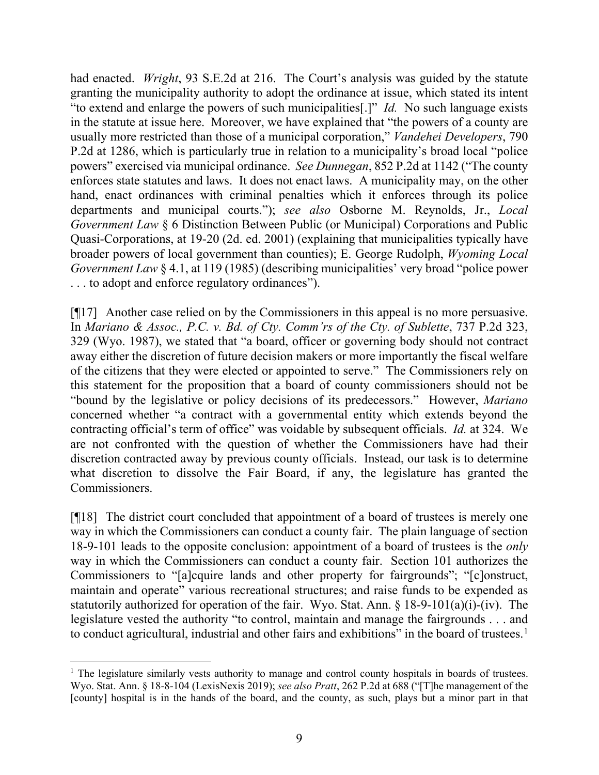had enacted. *Wright*, 93 S.E.2d at 216. The Court's analysis was guided by the statute granting the municipality authority to adopt the ordinance at issue, which stated its intent "to extend and enlarge the powers of such municipalities[.]" *Id.* No such language exists in the statute at issue here. Moreover, we have explained that "the powers of a county are usually more restricted than those of a municipal corporation," *Vandehei Developers*, 790 P.2d at 1286, which is particularly true in relation to a municipality's broad local "police powers" exercised via municipal ordinance. *See Dunnegan*, 852 P.2d at 1142 ("The county enforces state statutes and laws. It does not enact laws. A municipality may, on the other hand, enact ordinances with criminal penalties which it enforces through its police departments and municipal courts."); *see also* Osborne M. Reynolds, Jr., *Local Government Law* § 6 Distinction Between Public (or Municipal) Corporations and Public Quasi-Corporations, at 19-20 (2d. ed. 2001) (explaining that municipalities typically have broader powers of local government than counties); E. George Rudolph, *Wyoming Local Government Law* § 4.1, at 119 (1985) (describing municipalities' very broad "police power . . . to adopt and enforce regulatory ordinances").

[¶17] Another case relied on by the Commissioners in this appeal is no more persuasive. In *Mariano & Assoc., P.C. v. Bd. of Cty. Comm'rs of the Cty. of Sublette*, 737 P.2d 323, 329 (Wyo. 1987), we stated that "a board, officer or governing body should not contract away either the discretion of future decision makers or more importantly the fiscal welfare of the citizens that they were elected or appointed to serve." The Commissioners rely on this statement for the proposition that a board of county commissioners should not be "bound by the legislative or policy decisions of its predecessors." However, *Mariano*  concerned whether "a contract with a governmental entity which extends beyond the contracting official's term of office" was voidable by subsequent officials. *Id.* at 324. We are not confronted with the question of whether the Commissioners have had their discretion contracted away by previous county officials. Instead, our task is to determine what discretion to dissolve the Fair Board, if any, the legislature has granted the Commissioners.

[¶18] The district court concluded that appointment of a board of trustees is merely one way in which the Commissioners can conduct a county fair. The plain language of section 18-9-101 leads to the opposite conclusion: appointment of a board of trustees is the *only*  way in which the Commissioners can conduct a county fair. Section 101 authorizes the Commissioners to "[a]cquire lands and other property for fairgrounds"; "[c]onstruct, maintain and operate" various recreational structures; and raise funds to be expended as statutorily authorized for operation of the fair. Wyo. Stat. Ann. § 18-9-101(a)(i)-(iv). The legislature vested the authority "to control, maintain and manage the fairgrounds . . . and to conduct agricultural, industrial and other fairs and exhibitions" in the board of trustees.<sup>[1](#page-9-0)</sup>

<span id="page-9-0"></span><sup>&</sup>lt;sup>1</sup> The legislature similarly vests authority to manage and control county hospitals in boards of trustees. Wyo. Stat. Ann. § 18-8-104 (LexisNexis 2019); *see also Pratt*, 262 P.2d at 688 ("[T]he management of the [county] hospital is in the hands of the board, and the county, as such, plays but a minor part in that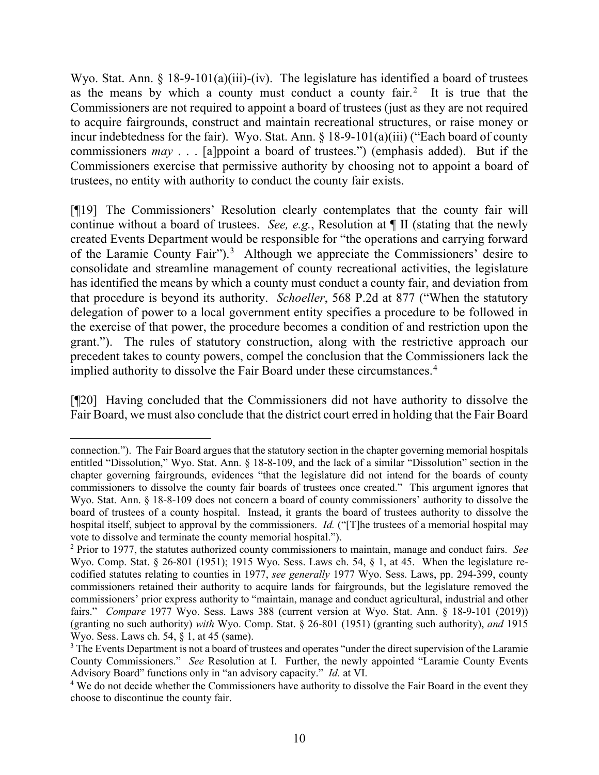Wyo. Stat. Ann. § 18-9-101(a)(iii)-(iv). The legislature has identified a board of trustees as the means by which a county must conduct a county fair.<sup>[2](#page-10-0)</sup> It is true that the Commissioners are not required to appoint a board of trustees (just as they are not required to acquire fairgrounds, construct and maintain recreational structures, or raise money or incur indebtedness for the fair). Wyo. Stat. Ann. § 18-9-101(a)(iii) ("Each board of county commissioners *may* . . . [a]ppoint a board of trustees.") (emphasis added). But if the Commissioners exercise that permissive authority by choosing not to appoint a board of trustees, no entity with authority to conduct the county fair exists.

[¶19] The Commissioners' Resolution clearly contemplates that the county fair will continue without a board of trustees. *See, e.g.*, Resolution at ¶ II (stating that the newly created Events Department would be responsible for "the operations and carrying forward of the Laramie County Fair").<sup>[3](#page-10-1)</sup> Although we appreciate the Commissioners' desire to consolidate and streamline management of county recreational activities, the legislature has identified the means by which a county must conduct a county fair, and deviation from that procedure is beyond its authority. *Schoeller*, 568 P.2d at 877 ("When the statutory delegation of power to a local government entity specifies a procedure to be followed in the exercise of that power, the procedure becomes a condition of and restriction upon the grant."). The rules of statutory construction, along with the restrictive approach our precedent takes to county powers, compel the conclusion that the Commissioners lack the implied authority to dissolve the Fair Board under these circumstances.<sup>[4](#page-10-2)</sup>

[¶20] Having concluded that the Commissioners did not have authority to dissolve the Fair Board, we must also conclude that the district court erred in holding that the Fair Board

connection."). The Fair Board argues that the statutory section in the chapter governing memorial hospitals entitled "Dissolution," Wyo. Stat. Ann. § 18-8-109, and the lack of a similar "Dissolution" section in the chapter governing fairgrounds, evidences "that the legislature did not intend for the boards of county commissioners to dissolve the county fair boards of trustees once created." This argument ignores that Wyo. Stat. Ann. § 18-8-109 does not concern a board of county commissioners' authority to dissolve the board of trustees of a county hospital. Instead, it grants the board of trustees authority to dissolve the hospital itself, subject to approval by the commissioners. *Id.* ("[T]he trustees of a memorial hospital may vote to dissolve and terminate the county memorial hospital.").

<span id="page-10-0"></span><sup>2</sup> Prior to 1977, the statutes authorized county commissioners to maintain, manage and conduct fairs. *See* Wyo. Comp. Stat. § 26-801 (1951); 1915 Wyo. Sess. Laws ch. 54, § 1, at 45. When the legislature recodified statutes relating to counties in 1977, *see generally* 1977 Wyo. Sess. Laws, pp. 294-399, county commissioners retained their authority to acquire lands for fairgrounds, but the legislature removed the commissioners' prior express authority to "maintain, manage and conduct agricultural, industrial and other fairs." *Compare* 1977 Wyo. Sess. Laws 388 (current version at Wyo. Stat. Ann. § 18-9-101 (2019)) (granting no such authority) *with* Wyo. Comp. Stat. § 26-801 (1951) (granting such authority), *and* 1915 Wyo. Sess. Laws ch. 54, § 1, at 45 (same).

<span id="page-10-1"></span><sup>&</sup>lt;sup>3</sup> The Events Department is not a board of trustees and operates "under the direct supervision of the Laramie County Commissioners." *See* Resolution at I. Further, the newly appointed "Laramie County Events Advisory Board" functions only in "an advisory capacity." *Id.* at VI.

<span id="page-10-2"></span><sup>4</sup> We do not decide whether the Commissioners have authority to dissolve the Fair Board in the event they choose to discontinue the county fair.